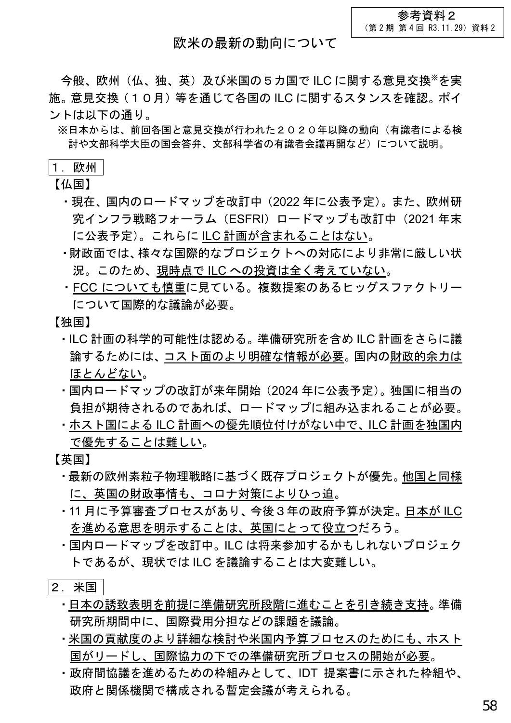参考資料2 (第 2 期 第 4 回 R3.11.29)資料 2

## 欧米の最新の動向について

今般、欧州(仏、独、英)及び米国の5カ国で ILC に関する意見交換※を実 施。意見交換(10月)等を通じて各国の ILC に関するスタンスを確認。ポイ ントは以下の通り。

※日本からは、前回各国と意見交換が行われた2020年以降の動向(有識者による検 討や文部科学大臣の国会答弁、文部科学省の有識者会議再開など)について説明。

## 1. 欧州

【仏国】

- ・現在、国内のロードマップを改訂中(2022 年に公表予定)。また、欧州研 究インフラ戦略フォーラム (ESFRI) ロードマップも改訂中 (2021 年末 に公表予定)。これらに ILC 計画が含まれることはない。
- ・財政面では、様々な国際的なプロジェクトへの対応により非常に厳しい状 況。このため、現時点で ILC への投資は全く考えていない。
- ・FCC についても慎重に見ている。複数提案のあるヒッグスファクトリー について国際的な議論が必要。

【独国】

- ・ILC 計画の科学的可能性は認める。準備研究所を含め ILC 計画をさらに議 論するためには、コスト面のより明確な情報が必要。国内の財政的余力は ほとんどない。
- ・国内ロードマップの改訂が来年開始(2024 年に公表予定)。独国に相当の 負担が期待されるのであれば、ロードマップに組み込まれることが必要。
- ・ホスト国による ILC 計画への優先順位付けがない中で、ILC 計画を独国内 で優先することは難しい。

【英国】

- ・最新の欧州素粒子物理戦略に基づく既存プロジェクトが優先。他国と同様 に、英国の財政事情も、コロナ対策によりひっ迫。
- ・11 月に予算審査プロセスがあり、今後3年の政府予算が決定。日本が ILC を進める意思を明示することは、英国にとって役立つだろう。
- ・国内ロードマップを改訂中。ILC は将来参加するかもしれないプロジェク トであるが、現状では ILC を議論することは大変難しい。
- 2.米国
	- ・日本の誘致表明を前提に準備研究所段階に進むことを引き続き支持。準備 研究所期間中に、国際費用分担などの課題を議論。
	- ・米国の貢献度のより詳細な検討や米国内予算プロセスのためにも、ホスト 国がリードし、国際協力の下での準備研究所プロセスの開始が必要。
	- ・政府間協議を進めるための枠組みとして、IDT 提案書に示された枠組や、 政府と関係機関で構成される暫定会議が考えられる。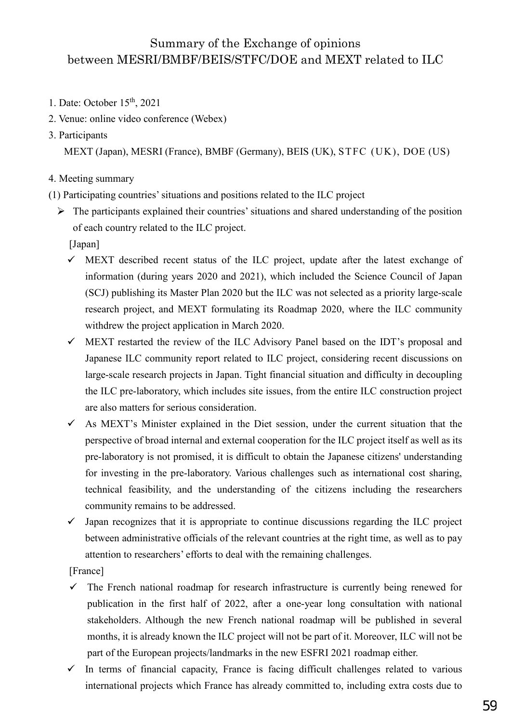## Summary of the Exchange of opinions between MESRI/BMBF/BEIS/STFC/DOE and MEXT related to ILC

- 1. Date: October 15<sup>th</sup>, 2021
- 2. Venue: online video conference (Webex)
- 3. Participants

MEXT (Japan), MESRI (France), BMBF (Germany), BEIS (UK), STFC (UK), DOE (US)

- 4. Meeting summary
- (1) Participating countries'situations and positions related to the ILC project
	- $\triangleright$  The participants explained their countries' situations and shared understanding of the position of each country related to the ILC project.

[Japan]

- $\checkmark$  MEXT described recent status of the ILC project, update after the latest exchange of information (during years 2020 and 2021), which included the Science Council of Japan (SCJ) publishing its Master Plan 2020 but the ILC was not selected as a priority large-scale research project, and MEXT formulating its Roadmap 2020, where the ILC community withdrew the project application in March 2020.
- $\checkmark$  MEXT restarted the review of the ILC Advisory Panel based on the IDT's proposal and Japanese ILC community report related to ILC project, considering recent discussions on large-scale research projects in Japan. Tight financial situation and difficulty in decoupling the ILC pre-laboratory, which includes site issues, from the entire ILC construction project are also matters for serious consideration.
- $\checkmark$  As MEXT's Minister explained in the Diet session, under the current situation that the perspective of broad internal and external cooperation for the ILC project itself as well as its pre-laboratory is not promised, it is difficult to obtain the Japanese citizens' understanding for investing in the pre-laboratory. Various challenges such as international cost sharing, technical feasibility, and the understanding of the citizens including the researchers community remains to be addressed.
- $\checkmark$  Japan recognizes that it is appropriate to continue discussions regarding the ILC project between administrative officials of the relevant countries at the right time, as well as to pay attention to researchers' efforts to deal with the remaining challenges.

[France]

- $\checkmark$ The French national roadmap for research infrastructure is currently being renewed for publication in the first half of 2022, after a one-year long consultation with national stakeholders. Although the new French national roadmap will be published in several months, it is already known the ILC project will not be part of it. Moreover, ILC will not be part of the European projects/landmarks in the new ESFRI 2021 roadmap either.
- In terms of financial capacity, France is facing difficult challenges related to various  $\checkmark$ international projects which France has already committed to, including extra costs due to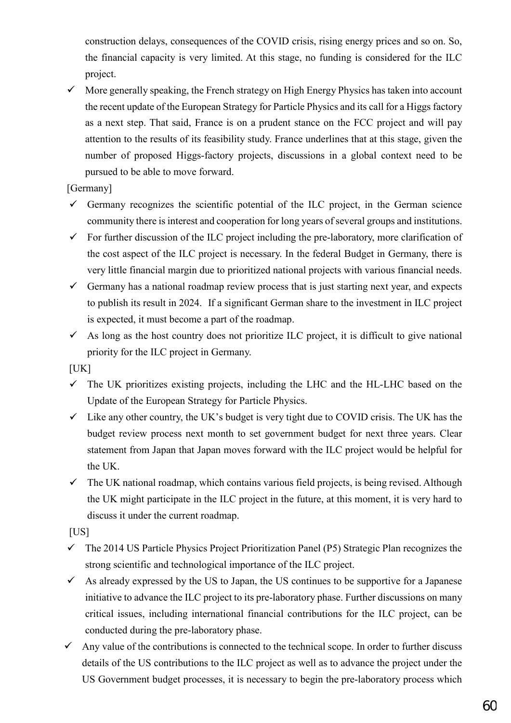construction delays, consequences of the COVID crisis, rising energy prices and so on. So, the financial capacity is very limited. At this stage, no funding is considered for the ILC project.

 $\checkmark$  More generally speaking, the French strategy on High Energy Physics has taken into account the recent update of the European Strategy for Particle Physics and its call for a Higgs factory as a next step. That said, France is on a prudent stance on the FCC project and will pay attention to the results of its feasibility study. France underlines that at this stage, given the number of proposed Higgs-factory projects, discussions in a global context need to be pursued to be able to move forward.

[Germany]

- $\checkmark$  Germany recognizes the scientific potential of the ILC project, in the German science community there is interest and cooperation for long years of several groups and institutions.
- $\checkmark$  For further discussion of the ILC project including the pre-laboratory, more clarification of the cost aspect of the ILC project is necessary. In the federal Budget in Germany, there is very little financial margin due to prioritized national projects with various financial needs.
- Germany has a national roadmap review process that is just starting next year, and expects to publish its result in 2024. If a significant German share to the investment in ILC project is expected, it must become a part of the roadmap.
- $\checkmark$  As long as the host country does not prioritize ILC project, it is difficult to give national priority for the ILC project in Germany.

 $[UK]$ 

- $\checkmark$  The UK prioritizes existing projects, including the LHC and the HL-LHC based on the Update of the European Strategy for Particle Physics.
- $\checkmark$  Like any other country, the UK's budget is very tight due to COVID crisis. The UK has the budget review process next month to set government budget for next three years. Clear statement from Japan that Japan moves forward with the ILC project would be helpful for the UK.
- $\checkmark$  The UK national roadmap, which contains various field projects, is being revised. Although the UK might participate in the ILC project in the future, at this moment, it is very hard to discuss it under the current roadmap.

[US]

- $\checkmark$  The 2014 US Particle Physics Project Prioritization Panel (P5) Strategic Plan recognizes the strong scientific and technological importance of the ILC project.
- $\checkmark$  As already expressed by the US to Japan, the US continues to be supportive for a Japanese initiative to advance the ILC project to its pre-laboratory phase. Further discussions on many critical issues, including international financial contributions for the ILC project, can be conducted during the pre-laboratory phase.
- Any value of the contributions is connected to the technical scope. In order to further discuss details of the US contributions to the ILC project as well as to advance the project under the US Government budget processes, it is necessary to begin the pre-laboratory process which